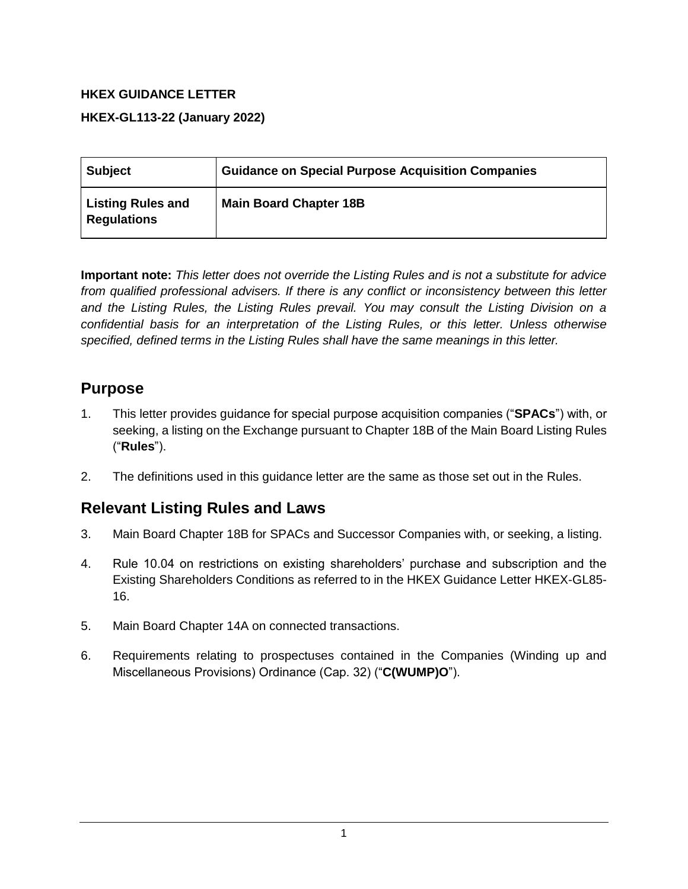### **HKEX GUIDANCE LETTER**

#### **HKEX-GL113-22 (January 2022)**

| <b>Subject</b>                                 | <b>Guidance on Special Purpose Acquisition Companies</b> |
|------------------------------------------------|----------------------------------------------------------|
| <b>Listing Rules and</b><br><b>Regulations</b> | <b>Main Board Chapter 18B</b>                            |

**Important note:** *This letter does not override the Listing Rules and is not a substitute for advice from qualified professional advisers. If there is any conflict or inconsistency between this letter and the Listing Rules, the Listing Rules prevail. You may consult the Listing Division on a confidential basis for an interpretation of the Listing Rules, or this letter. Unless otherwise specified, defined terms in the Listing Rules shall have the same meanings in this letter.*

## **Purpose**

- 1. This letter provides guidance for special purpose acquisition companies ("**SPACs**") with, or seeking, a listing on the Exchange pursuant to Chapter 18B of the Main Board Listing Rules ("**Rules**").
- 2. The definitions used in this guidance letter are the same as those set out in the Rules.

# **Relevant Listing Rules and Laws**

- 3. Main Board Chapter 18B for SPACs and Successor Companies with, or seeking, a listing.
- 4. Rule 10.04 on restrictions on existing shareholders' purchase and subscription and the Existing Shareholders Conditions as referred to in the HKEX Guidance Letter HKEX-GL85- 16.
- 5. Main Board Chapter 14A on connected transactions.
- 6. Requirements relating to prospectuses contained in the Companies (Winding up and Miscellaneous Provisions) Ordinance (Cap. 32) ("**C(WUMP)O**").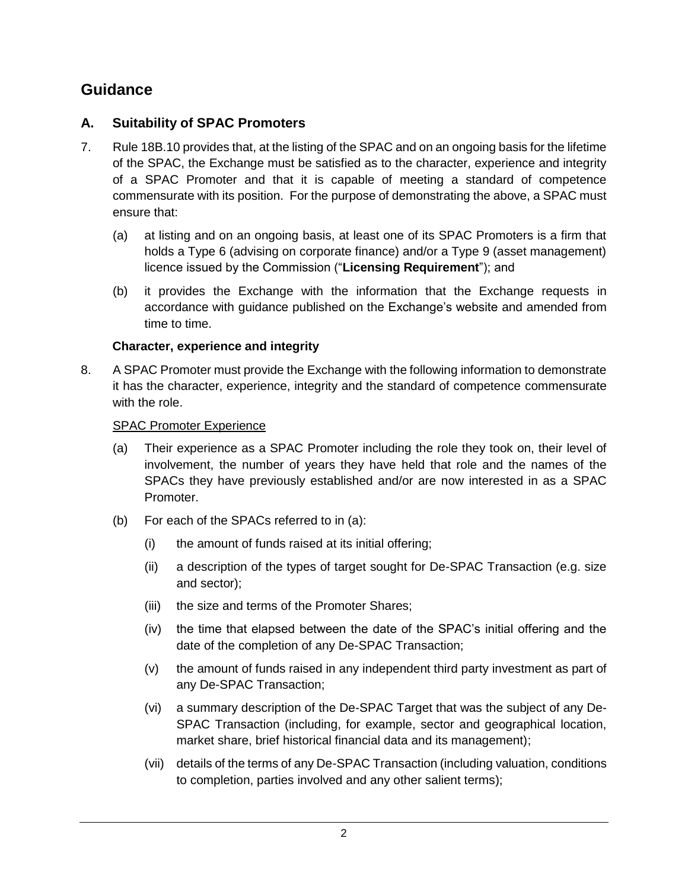# **Guidance**

### **A. Suitability of SPAC Promoters**

- 7. Rule 18B.10 provides that, at the listing of the SPAC and on an ongoing basis for the lifetime of the SPAC, the Exchange must be satisfied as to the character, experience and integrity of a SPAC Promoter and that it is capable of meeting a standard of competence commensurate with its position. For the purpose of demonstrating the above, a SPAC must ensure that:
	- (a) at listing and on an ongoing basis, at least one of its SPAC Promoters is a firm that holds a Type 6 (advising on corporate finance) and/or a Type 9 (asset management) licence issued by the Commission ("**Licensing Requirement**"); and
	- (b) it provides the Exchange with the information that the Exchange requests in accordance with guidance published on the Exchange's website and amended from time to time.

### **Character, experience and integrity**

<span id="page-1-0"></span>8. A SPAC Promoter must provide the Exchange with the following information to demonstrate it has the character, experience, integrity and the standard of competence commensurate with the role.

### SPAC Promoter Experience

- (a) Their experience as a SPAC Promoter including the role they took on, their level of involvement, the number of years they have held that role and the names of the SPACs they have previously established and/or are now interested in as a SPAC Promoter.
- (b) For each of the SPACs referred to in (a):
	- (i) the amount of funds raised at its initial offering;
	- (ii) a description of the types of target sought for De-SPAC Transaction (e.g. size and sector);
	- (iii) the size and terms of the Promoter Shares;
	- (iv) the time that elapsed between the date of the SPAC's initial offering and the date of the completion of any De-SPAC Transaction;
	- (v) the amount of funds raised in any independent third party investment as part of any De-SPAC Transaction;
	- (vi) a summary description of the De-SPAC Target that was the subject of any De-SPAC Transaction (including, for example, sector and geographical location, market share, brief historical financial data and its management);
	- (vii) details of the terms of any De-SPAC Transaction (including valuation, conditions to completion, parties involved and any other salient terms);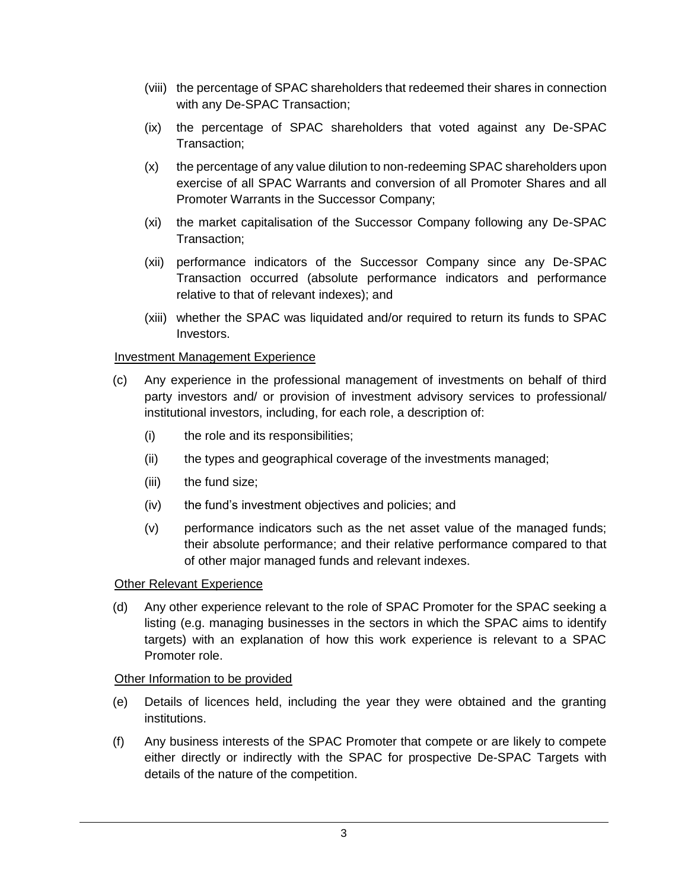- (viii) the percentage of SPAC shareholders that redeemed their shares in connection with any De-SPAC Transaction;
- (ix) the percentage of SPAC shareholders that voted against any De-SPAC Transaction;
- (x) the percentage of any value dilution to non-redeeming SPAC shareholders upon exercise of all SPAC Warrants and conversion of all Promoter Shares and all Promoter Warrants in the Successor Company;
- (xi) the market capitalisation of the Successor Company following any De-SPAC Transaction;
- (xii) performance indicators of the Successor Company since any De-SPAC Transaction occurred (absolute performance indicators and performance relative to that of relevant indexes); and
- (xiii) whether the SPAC was liquidated and/or required to return its funds to SPAC Investors.

#### Investment Management Experience

- (c) Any experience in the professional management of investments on behalf of third party investors and/ or provision of investment advisory services to professional/ institutional investors, including, for each role, a description of:
	- (i) the role and its responsibilities;
	- (ii) the types and geographical coverage of the investments managed;
	- (iii) the fund size;
	- (iv) the fund's investment objectives and policies; and
	- (v) performance indicators such as the net asset value of the managed funds; their absolute performance; and their relative performance compared to that of other major managed funds and relevant indexes.

#### Other Relevant Experience

(d) Any other experience relevant to the role of SPAC Promoter for the SPAC seeking a listing (e.g. managing businesses in the sectors in which the SPAC aims to identify targets) with an explanation of how this work experience is relevant to a SPAC Promoter role.

#### Other Information to be provided

- (e) Details of licences held, including the year they were obtained and the granting institutions.
- (f) Any business interests of the SPAC Promoter that compete or are likely to compete either directly or indirectly with the SPAC for prospective De-SPAC Targets with details of the nature of the competition.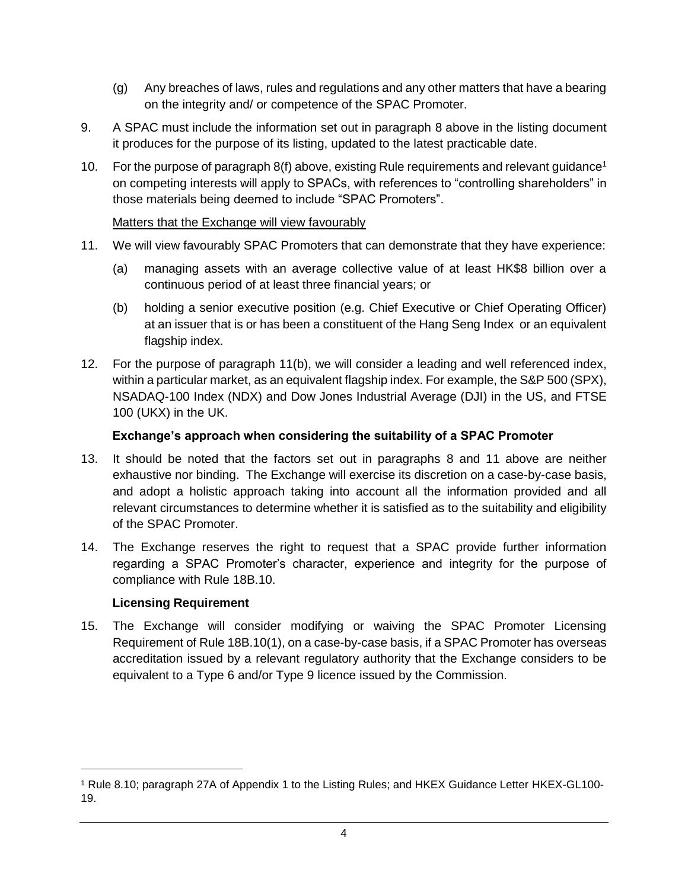- (g) Any breaches of laws, rules and regulations and any other matters that have a bearing on the integrity and/ or competence of the SPAC Promoter.
- 9. A SPAC must include the information set out in paragraph [8](#page-1-0) above in the listing document it produces for the purpose of its listing, updated to the latest practicable date.
- 10. For the purpose of paragraph [8\(](#page-1-0)f) above, existing Rule requirements and relevant guidance<sup>1</sup> on competing interests will apply to SPACs, with references to "controlling shareholders" in those materials being deemed to include "SPAC Promoters".

#### Matters that the Exchange will view favourably

- <span id="page-3-0"></span>11. We will view favourably SPAC Promoters that can demonstrate that they have experience:
	- (a) managing assets with an average collective value of at least HK\$8 billion over a continuous period of at least three financial years; or
	- (b) holding a senior executive position (e.g. Chief Executive or Chief Operating Officer) at an issuer that is or has been a constituent of the Hang Seng Index or an equivalent flagship index.
- 12. For the purpose of paragraph [11\(](#page-3-0)b), we will consider a leading and well referenced index, within a particular market, as an equivalent flagship index. For example, the S&P 500 (SPX), NSADAQ-100 Index (NDX) and Dow Jones Industrial Average (DJI) in the US, and FTSE 100 (UKX) in the UK.

#### **Exchange's approach when considering the suitability of a SPAC Promoter**

- 13. It should be noted that the factors set out in paragraphs [8](#page-1-0) and [11](#page-3-0) above are neither exhaustive nor binding. The Exchange will exercise its discretion on a case-by-case basis, and adopt a holistic approach taking into account all the information provided and all relevant circumstances to determine whether it is satisfied as to the suitability and eligibility of the SPAC Promoter.
- 14. The Exchange reserves the right to request that a SPAC provide further information regarding a SPAC Promoter's character, experience and integrity for the purpose of compliance with Rule 18B.10.

#### **Licensing Requirement**

l

15. The Exchange will consider modifying or waiving the SPAC Promoter Licensing Requirement of Rule 18B.10(1), on a case-by-case basis, if a SPAC Promoter has overseas accreditation issued by a relevant regulatory authority that the Exchange considers to be equivalent to a Type 6 and/or Type 9 licence issued by the Commission.

<sup>1</sup> Rule 8.10; paragraph 27A of Appendix 1 to the Listing Rules; and HKEX Guidance Letter HKEX-GL100- 19.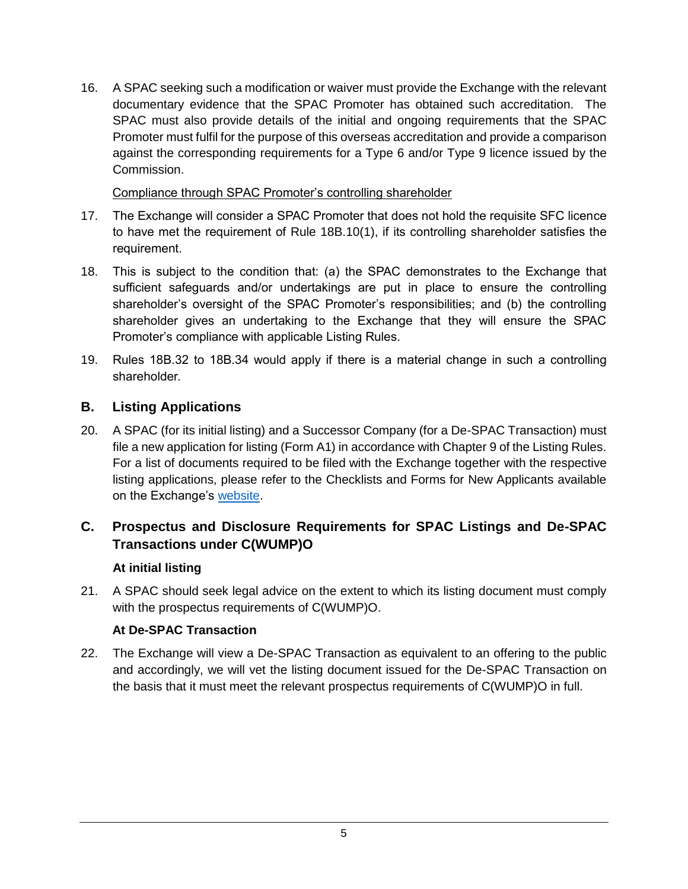16. A SPAC seeking such a modification or waiver must provide the Exchange with the relevant documentary evidence that the SPAC Promoter has obtained such accreditation. The SPAC must also provide details of the initial and ongoing requirements that the SPAC Promoter must fulfil for the purpose of this overseas accreditation and provide a comparison against the corresponding requirements for a Type 6 and/or Type 9 licence issued by the Commission.

Compliance through SPAC Promoter's controlling shareholder

- 17. The Exchange will consider a SPAC Promoter that does not hold the requisite SFC licence to have met the requirement of Rule 18B.10(1), if its controlling shareholder satisfies the requirement.
- 18. This is subject to the condition that: (a) the SPAC demonstrates to the Exchange that sufficient safeguards and/or undertakings are put in place to ensure the controlling shareholder's oversight of the SPAC Promoter's responsibilities; and (b) the controlling shareholder gives an undertaking to the Exchange that they will ensure the SPAC Promoter's compliance with applicable Listing Rules.
- 19. Rules 18B.32 to 18B.34 would apply if there is a material change in such a controlling shareholder.

## **B. Listing Applications**

20. A SPAC (for its initial listing) and a Successor Company (for a De-SPAC Transaction) must file a new application for listing (Form A1) in accordance with Chapter 9 of the Listing Rules. For a list of documents required to be filed with the Exchange together with the respective listing applications, please refer to the Checklists and Forms for New Applicants available on the Exchange's [website.](https://www.hkex.com.hk/Listing/Rules-and-Guidance/Forms/New-Applicants/Checklists-and-forms-for-applications-after-20180215?sc_lang=en)

## **C. Prospectus and Disclosure Requirements for SPAC Listings and De-SPAC Transactions under C(WUMP)O**

### **At initial listing**

21. A SPAC should seek legal advice on the extent to which its listing document must comply with the prospectus requirements of C(WUMP)O.

### **At De-SPAC Transaction**

22. The Exchange will view a De-SPAC Transaction as equivalent to an offering to the public and accordingly, we will vet the listing document issued for the De-SPAC Transaction on the basis that it must meet the relevant prospectus requirements of C(WUMP)O in full.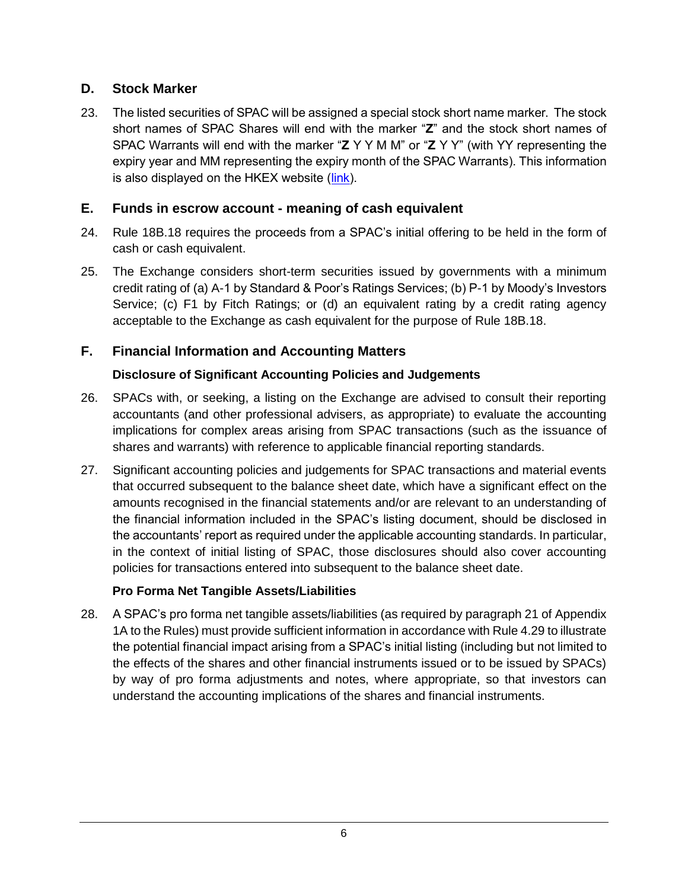### **D. Stock Marker**

23. The listed securities of SPAC will be assigned a special stock short name marker. The stock short names of SPAC Shares will end with the marker "**Z**" and the stock short names of SPAC Warrants will end with the marker "**Z** Y Y M M" or "**Z** Y Y" (with YY representing the expiry year and MM representing the expiry month of the SPAC Warrants). This information is also displayed on the HKEX website [\(link\)](https://www.hkex.com.hk/Products/Securities/Equities?sc_lang=en).

### **E. Funds in escrow account - meaning of cash equivalent**

- 24. Rule 18B.18 requires the proceeds from a SPAC's initial offering to be held in the form of cash or cash equivalent.
- 25. The Exchange considers short-term securities issued by governments with a minimum credit rating of (a) A-1 by Standard & Poor's Ratings Services; (b) P-1 by Moody's Investors Service; (c) F1 by Fitch Ratings; or (d) an equivalent rating by a credit rating agency acceptable to the Exchange as cash equivalent for the purpose of Rule 18B.18.

## **F. Financial Information and Accounting Matters**

## **Disclosure of Significant Accounting Policies and Judgements**

- 26. SPACs with, or seeking, a listing on the Exchange are advised to consult their reporting accountants (and other professional advisers, as appropriate) to evaluate the accounting implications for complex areas arising from SPAC transactions (such as the issuance of shares and warrants) with reference to applicable financial reporting standards.
- 27. Significant accounting policies and judgements for SPAC transactions and material events that occurred subsequent to the balance sheet date, which have a significant effect on the amounts recognised in the financial statements and/or are relevant to an understanding of the financial information included in the SPAC's listing document, should be disclosed in the accountants' report as required under the applicable accounting standards. In particular, in the context of initial listing of SPAC, those disclosures should also cover accounting policies for transactions entered into subsequent to the balance sheet date.

### **Pro Forma Net Tangible Assets/Liabilities**

28. A SPAC's pro forma net tangible assets/liabilities (as required by paragraph 21 of Appendix 1A to the Rules) must provide sufficient information in accordance with Rule 4.29 to illustrate the potential financial impact arising from a SPAC's initial listing (including but not limited to the effects of the shares and other financial instruments issued or to be issued by SPACs) by way of pro forma adjustments and notes, where appropriate, so that investors can understand the accounting implications of the shares and financial instruments.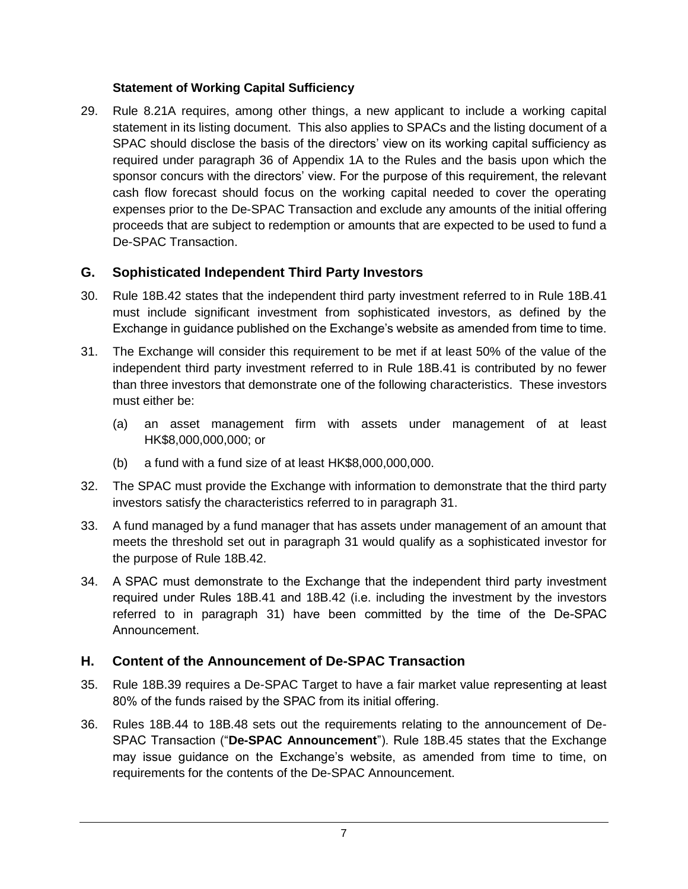### **Statement of Working Capital Sufficiency**

29. Rule 8.21A requires, among other things, a new applicant to include a working capital statement in its listing document.This also applies to SPACs and the listing document of a SPAC should disclose the basis of the directors' view on its working capital sufficiency as required under paragraph 36 of Appendix 1A to the Rules and the basis upon which the sponsor concurs with the directors' view. For the purpose of this requirement, the relevant cash flow forecast should focus on the working capital needed to cover the operating expenses prior to the De-SPAC Transaction and exclude any amounts of the initial offering proceeds that are subject to redemption or amounts that are expected to be used to fund a De-SPAC Transaction.

## **G. Sophisticated Independent Third Party Investors**

- 30. Rule 18B.42 states that the independent third party investment referred to in Rule 18B.41 must include significant investment from sophisticated investors, as defined by the Exchange in guidance published on the Exchange's website as amended from time to time.
- <span id="page-6-0"></span>31. The Exchange will consider this requirement to be met if at least 50% of the value of the independent third party investment referred to in Rule 18B.41 is contributed by no fewer than three investors that demonstrate one of the following characteristics. These investors must either be:
	- (a) an asset management firm with assets under management of at least HK\$8,000,000,000; or
	- (b) a fund with a fund size of at least HK\$8,000,000,000.
- 32. The SPAC must provide the Exchange with information to demonstrate that the third party investors satisfy the characteristics referred to in paragraph [31.](#page-6-0)
- 33. A fund managed by a fund manager that has assets under management of an amount that meets the threshold set out in paragraph [31](#page-6-0) would qualify as a sophisticated investor for the purpose of Rule 18B.42.
- 34. A SPAC must demonstrate to the Exchange that the independent third party investment required under Rules 18B.41 and 18B.42 (i.e. including the investment by the investors referred to in paragraph [31\)](#page-6-0) have been committed by the time of the De-SPAC Announcement.

### **H. Content of the Announcement of De-SPAC Transaction**

- 35. Rule 18B.39 requires a De-SPAC Target to have a fair market value representing at least 80% of the funds raised by the SPAC from its initial offering.
- 36. Rules 18B.44 to 18B.48 sets out the requirements relating to the announcement of De-SPAC Transaction ("**De-SPAC Announcement**"). Rule 18B.45 states that the Exchange may issue guidance on the Exchange's website, as amended from time to time, on requirements for the contents of the De-SPAC Announcement.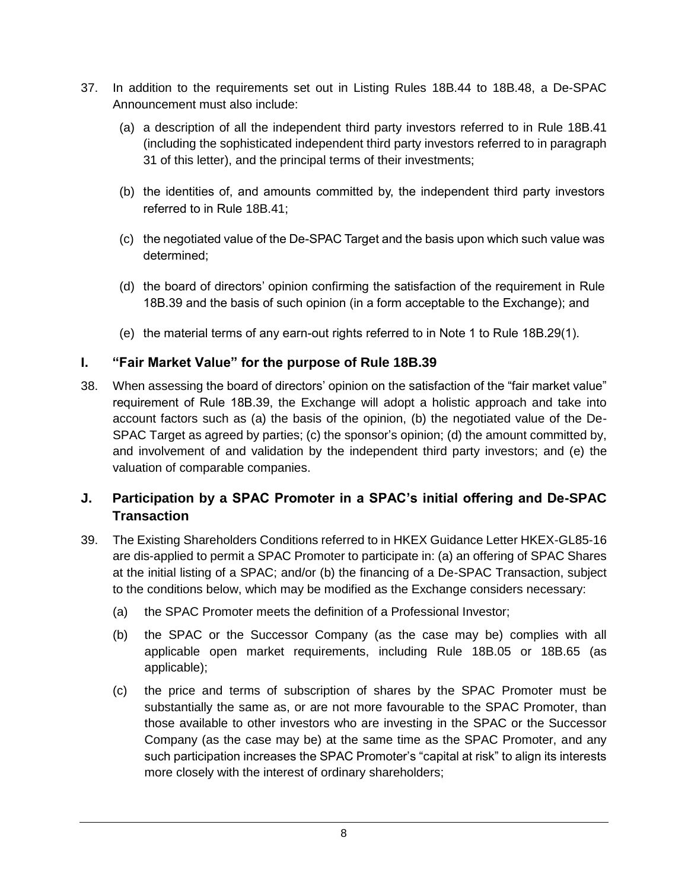- 37. In addition to the requirements set out in Listing Rules 18B.44 to 18B.48, a De-SPAC Announcement must also include:
	- (a) a description of all the independent third party investors referred to in Rule 18B.41 (including the sophisticated independent third party investors referred to in paragraph [31](#page-6-0) of this letter), and the principal terms of their investments;
	- (b) the identities of, and amounts committed by, the independent third party investors referred to in Rule 18B.41;
	- (c) the negotiated value of the De-SPAC Target and the basis upon which such value was determined;
	- (d) the board of directors' opinion confirming the satisfaction of the requirement in Rule 18B.39 and the basis of such opinion (in a form acceptable to the Exchange); and
	- (e) the material terms of any earn-out rights referred to in Note 1 to Rule 18B.29(1).

### **I. "Fair Market Value" for the purpose of Rule 18B.39**

38. When assessing the board of directors' opinion on the satisfaction of the "fair market value" requirement of Rule 18B.39, the Exchange will adopt a holistic approach and take into account factors such as (a) the basis of the opinion, (b) the negotiated value of the De-SPAC Target as agreed by parties; (c) the sponsor's opinion; (d) the amount committed by, and involvement of and validation by the independent third party investors; and (e) the valuation of comparable companies.

### <span id="page-7-0"></span>**J. Participation by a SPAC Promoter in a SPAC's initial offering and De-SPAC Transaction**

- 39. The Existing Shareholders Conditions referred to in HKEX Guidance Letter HKEX-GL85-16 are dis-applied to permit a SPAC Promoter to participate in: (a) an offering of SPAC Shares at the initial listing of a SPAC; and/or (b) the financing of a De-SPAC Transaction, subject to the conditions below, which may be modified as the Exchange considers necessary:
	- (a) the SPAC Promoter meets the definition of a Professional Investor;
	- (b) the SPAC or the Successor Company (as the case may be) complies with all applicable open market requirements, including Rule 18B.05 or 18B.65 (as applicable);
	- (c) the price and terms of subscription of shares by the SPAC Promoter must be substantially the same as, or are not more favourable to the SPAC Promoter, than those available to other investors who are investing in the SPAC or the Successor Company (as the case may be) at the same time as the SPAC Promoter, and any such participation increases the SPAC Promoter's "capital at risk" to align its interests more closely with the interest of ordinary shareholders;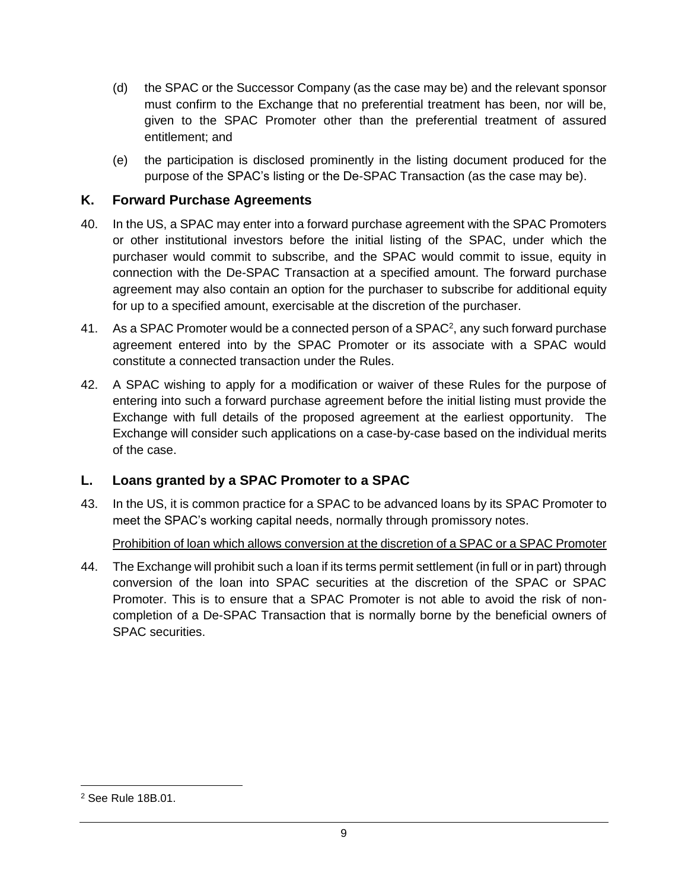- (d) the SPAC or the Successor Company (as the case may be) and the relevant sponsor must confirm to the Exchange that no preferential treatment has been, nor will be, given to the SPAC Promoter other than the preferential treatment of assured entitlement; and
- (e) the participation is disclosed prominently in the listing document produced for the purpose of the SPAC's listing or the De-SPAC Transaction (as the case may be).

### **K. Forward Purchase Agreements**

- 40. In the US, a SPAC may enter into a forward purchase agreement with the SPAC Promoters or other institutional investors before the initial listing of the SPAC, under which the purchaser would commit to subscribe, and the SPAC would commit to issue, equity in connection with the De-SPAC Transaction at a specified amount. The forward purchase agreement may also contain an option for the purchaser to subscribe for additional equity for up to a specified amount, exercisable at the discretion of the purchaser.
- 41. As a SPAC Promoter would be a connected person of a SPAC<sup>2</sup>, any such forward purchase agreement entered into by the SPAC Promoter or its associate with a SPAC would constitute a connected transaction under the Rules.
- 42. A SPAC wishing to apply for a modification or waiver of these Rules for the purpose of entering into such a forward purchase agreement before the initial listing must provide the Exchange with full details of the proposed agreement at the earliest opportunity. The Exchange will consider such applications on a case-by-case based on the individual merits of the case.

### **L. Loans granted by a SPAC Promoter to a SPAC**

43. In the US, it is common practice for a SPAC to be advanced loans by its SPAC Promoter to meet the SPAC's working capital needs, normally through promissory notes.

Prohibition of loan which allows conversion at the discretion of a SPAC or a SPAC Promoter

<span id="page-8-0"></span>44. The Exchange will prohibit such a loan if its terms permit settlement (in full or in part) through conversion of the loan into SPAC securities at the discretion of the SPAC or SPAC Promoter. This is to ensure that a SPAC Promoter is not able to avoid the risk of noncompletion of a De-SPAC Transaction that is normally borne by the beneficial owners of SPAC securities.

l

<sup>2</sup> See Rule 18B.01.